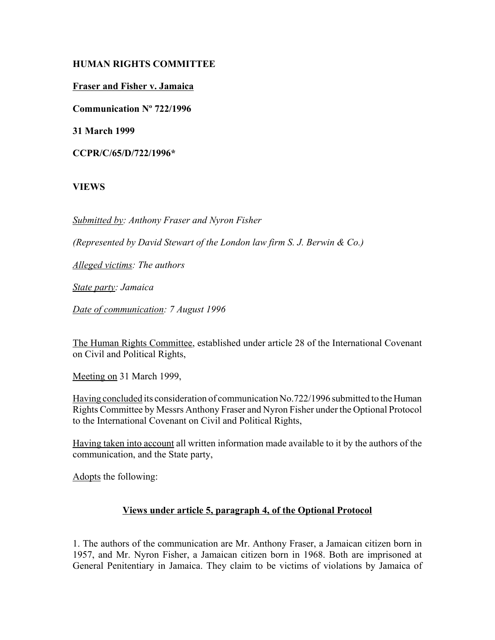# **HUMAN RIGHTS COMMITTEE**

## **Fraser and Fisher v. Jamaica**

**Communication Nº 722/1996**

**31 March 1999**

**CCPR/C/65/D/722/1996\***

# **VIEWS**

*Submitted by: Anthony Fraser and Nyron Fisher* 

*(Represented by David Stewart of the London law firm S. J. Berwin & Co.)* 

*Alleged victims: The authors* 

*State party: Jamaica* 

*Date of communication: 7 August 1996*

The Human Rights Committee, established under article 28 of the International Covenant on Civil and Political Rights,

Meeting on 31 March 1999,

Having concluded its consideration of communication No.722/1996 submitted to the Human Rights Committee by Messrs Anthony Fraser and Nyron Fisher under the Optional Protocol to the International Covenant on Civil and Political Rights,

Having taken into account all written information made available to it by the authors of the communication, and the State party,

Adopts the following:

# **Views under article 5, paragraph 4, of the Optional Protocol**

1. The authors of the communication are Mr. Anthony Fraser, a Jamaican citizen born in 1957, and Mr. Nyron Fisher, a Jamaican citizen born in 1968. Both are imprisoned at General Penitentiary in Jamaica. They claim to be victims of violations by Jamaica of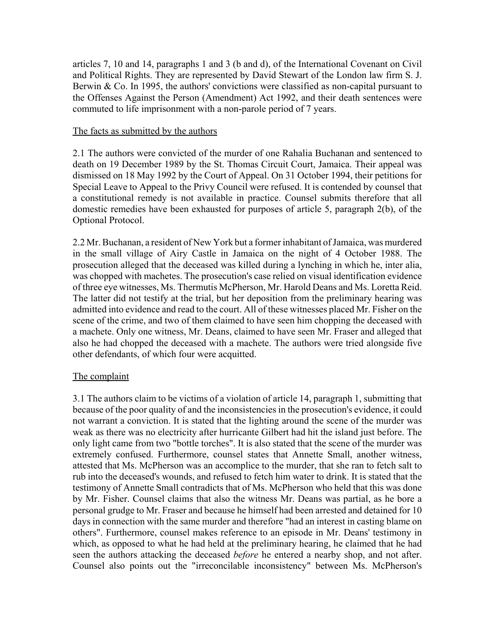articles 7, 10 and 14, paragraphs 1 and 3 (b and d), of the International Covenant on Civil and Political Rights. They are represented by David Stewart of the London law firm S. J. Berwin & Co. In 1995, the authors' convictions were classified as non-capital pursuant to the Offenses Against the Person (Amendment) Act 1992, and their death sentences were commuted to life imprisonment with a non-parole period of 7 years.

### The facts as submitted by the authors

2.1 The authors were convicted of the murder of one Rahalia Buchanan and sentenced to death on 19 December 1989 by the St. Thomas Circuit Court, Jamaica. Their appeal was dismissed on 18 May 1992 by the Court of Appeal. On 31 October 1994, their petitions for Special Leave to Appeal to the Privy Council were refused. It is contended by counsel that a constitutional remedy is not available in practice. Counsel submits therefore that all domestic remedies have been exhausted for purposes of article 5, paragraph 2(b), of the Optional Protocol.

2.2 Mr. Buchanan, a resident of New York but a former inhabitant of Jamaica, was murdered in the small village of Airy Castle in Jamaica on the night of 4 October 1988. The prosecution alleged that the deceased was killed during a lynching in which he, inter alia, was chopped with machetes. The prosecution's case relied on visual identification evidence of three eye witnesses, Ms. Thermutis McPherson, Mr. Harold Deans and Ms. Loretta Reid. The latter did not testify at the trial, but her deposition from the preliminary hearing was admitted into evidence and read to the court. All of these witnesses placed Mr. Fisher on the scene of the crime, and two of them claimed to have seen him chopping the deceased with a machete. Only one witness, Mr. Deans, claimed to have seen Mr. Fraser and alleged that also he had chopped the deceased with a machete. The authors were tried alongside five other defendants, of which four were acquitted.

### The complaint

3.1 The authors claim to be victims of a violation of article 14, paragraph 1, submitting that because of the poor quality of and the inconsistencies in the prosecution's evidence, it could not warrant a conviction. It is stated that the lighting around the scene of the murder was weak as there was no electricity after hurricante Gilbert had hit the island just before. The only light came from two "bottle torches". It is also stated that the scene of the murder was extremely confused. Furthermore, counsel states that Annette Small, another witness, attested that Ms. McPherson was an accomplice to the murder, that she ran to fetch salt to rub into the deceased's wounds, and refused to fetch him water to drink. It is stated that the testimony of Annette Small contradicts that of Ms. McPherson who held that this was done by Mr. Fisher. Counsel claims that also the witness Mr. Deans was partial, as he bore a personal grudge to Mr. Fraser and because he himself had been arrested and detained for 10 days in connection with the same murder and therefore "had an interest in casting blame on others". Furthermore, counsel makes reference to an episode in Mr. Deans' testimony in which, as opposed to what he had held at the preliminary hearing, he claimed that he had seen the authors attacking the deceased *before* he entered a nearby shop, and not after. Counsel also points out the "irreconcilable inconsistency" between Ms. McPherson's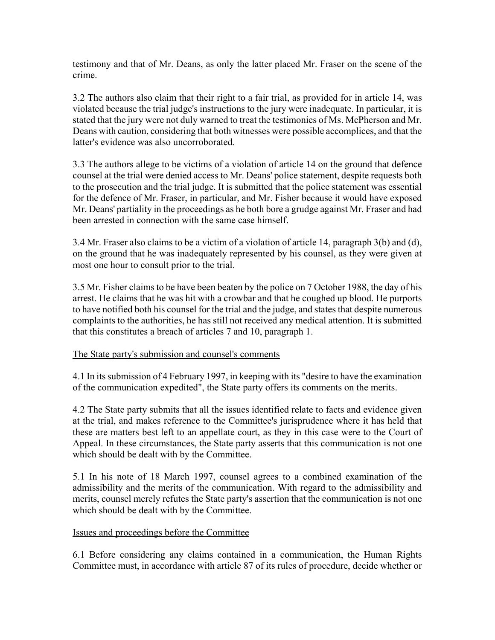testimony and that of Mr. Deans, as only the latter placed Mr. Fraser on the scene of the crime.

3.2 The authors also claim that their right to a fair trial, as provided for in article 14, was violated because the trial judge's instructions to the jury were inadequate. In particular, it is stated that the jury were not duly warned to treat the testimonies of Ms. McPherson and Mr. Deans with caution, considering that both witnesses were possible accomplices, and that the latter's evidence was also uncorroborated.

3.3 The authors allege to be victims of a violation of article 14 on the ground that defence counsel at the trial were denied access to Mr. Deans' police statement, despite requests both to the prosecution and the trial judge. It is submitted that the police statement was essential for the defence of Mr. Fraser, in particular, and Mr. Fisher because it would have exposed Mr. Deans' partiality in the proceedings as he both bore a grudge against Mr. Fraser and had been arrested in connection with the same case himself.

3.4 Mr. Fraser also claims to be a victim of a violation of article 14, paragraph 3(b) and (d), on the ground that he was inadequately represented by his counsel, as they were given at most one hour to consult prior to the trial.

3.5 Mr. Fisher claims to be have been beaten by the police on 7 October 1988, the day of his arrest. He claims that he was hit with a crowbar and that he coughed up blood. He purports to have notified both his counsel for the trial and the judge, and states that despite numerous complaints to the authorities, he has still not received any medical attention. It is submitted that this constitutes a breach of articles 7 and 10, paragraph 1.

### The State party's submission and counsel's comments

4.1 In its submission of 4 February 1997, in keeping with its "desire to have the examination of the communication expedited", the State party offers its comments on the merits.

4.2 The State party submits that all the issues identified relate to facts and evidence given at the trial, and makes reference to the Committee's jurisprudence where it has held that these are matters best left to an appellate court, as they in this case were to the Court of Appeal. In these circumstances, the State party asserts that this communication is not one which should be dealt with by the Committee.

5.1 In his note of 18 March 1997, counsel agrees to a combined examination of the admissibility and the merits of the communication. With regard to the admissibility and merits, counsel merely refutes the State party's assertion that the communication is not one which should be dealt with by the Committee.

### Issues and proceedings before the Committee

6.1 Before considering any claims contained in a communication, the Human Rights Committee must, in accordance with article 87 of its rules of procedure, decide whether or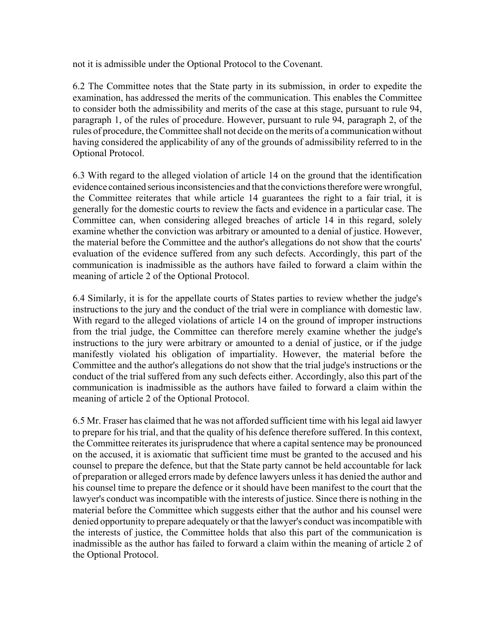not it is admissible under the Optional Protocol to the Covenant.

6.2 The Committee notes that the State party in its submission, in order to expedite the examination, has addressed the merits of the communication. This enables the Committee to consider both the admissibility and merits of the case at this stage, pursuant to rule 94, paragraph 1, of the rules of procedure. However, pursuant to rule 94, paragraph 2, of the rules of procedure, the Committee shall not decide on the merits of a communication without having considered the applicability of any of the grounds of admissibility referred to in the Optional Protocol.

6.3 With regard to the alleged violation of article 14 on the ground that the identification evidence contained serious inconsistencies and that the convictions therefore were wrongful, the Committee reiterates that while article 14 guarantees the right to a fair trial, it is generally for the domestic courts to review the facts and evidence in a particular case. The Committee can, when considering alleged breaches of article 14 in this regard, solely examine whether the conviction was arbitrary or amounted to a denial of justice. However, the material before the Committee and the author's allegations do not show that the courts' evaluation of the evidence suffered from any such defects. Accordingly, this part of the communication is inadmissible as the authors have failed to forward a claim within the meaning of article 2 of the Optional Protocol.

6.4 Similarly, it is for the appellate courts of States parties to review whether the judge's instructions to the jury and the conduct of the trial were in compliance with domestic law. With regard to the alleged violations of article 14 on the ground of improper instructions from the trial judge, the Committee can therefore merely examine whether the judge's instructions to the jury were arbitrary or amounted to a denial of justice, or if the judge manifestly violated his obligation of impartiality. However, the material before the Committee and the author's allegations do not show that the trial judge's instructions or the conduct of the trial suffered from any such defects either. Accordingly, also this part of the communication is inadmissible as the authors have failed to forward a claim within the meaning of article 2 of the Optional Protocol.

6.5 Mr. Fraser has claimed that he was not afforded sufficient time with his legal aid lawyer to prepare for his trial, and that the quality of his defence therefore suffered. In this context, the Committee reiterates its jurisprudence that where a capital sentence may be pronounced on the accused, it is axiomatic that sufficient time must be granted to the accused and his counsel to prepare the defence, but that the State party cannot be held accountable for lack of preparation or alleged errors made by defence lawyers unless it has denied the author and his counsel time to prepare the defence or it should have been manifest to the court that the lawyer's conduct was incompatible with the interests of justice. Since there is nothing in the material before the Committee which suggests either that the author and his counsel were denied opportunity to prepare adequately or that the lawyer's conduct was incompatible with the interests of justice, the Committee holds that also this part of the communication is inadmissible as the author has failed to forward a claim within the meaning of article 2 of the Optional Protocol.